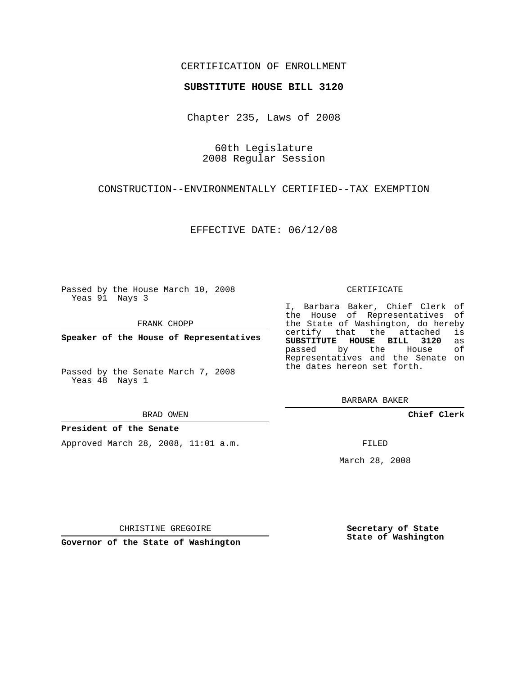## CERTIFICATION OF ENROLLMENT

## **SUBSTITUTE HOUSE BILL 3120**

Chapter 235, Laws of 2008

60th Legislature 2008 Regular Session

CONSTRUCTION--ENVIRONMENTALLY CERTIFIED--TAX EXEMPTION

EFFECTIVE DATE: 06/12/08

Passed by the House March 10, 2008 Yeas 91 Nays 3

FRANK CHOPP

**Speaker of the House of Representatives**

Passed by the Senate March 7, 2008 Yeas 48 Nays 1

#### BRAD OWEN

### **President of the Senate**

Approved March 28, 2008, 11:01 a.m.

#### CERTIFICATE

I, Barbara Baker, Chief Clerk of the House of Representatives of the State of Washington, do hereby<br>certify that the attached is certify that the attached **SUBSTITUTE HOUSE BILL 3120** as passed by the House Representatives and the Senate on the dates hereon set forth.

BARBARA BAKER

**Chief Clerk**

FILED

March 28, 2008

CHRISTINE GREGOIRE

**Governor of the State of Washington**

**Secretary of State State of Washington**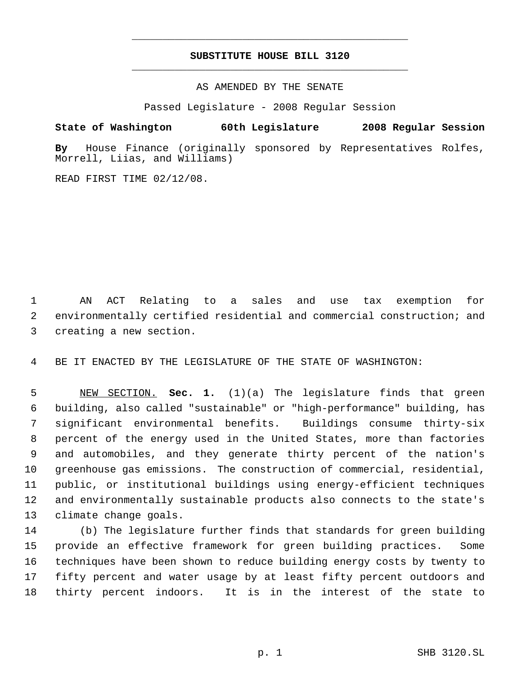# **SUBSTITUTE HOUSE BILL 3120** \_\_\_\_\_\_\_\_\_\_\_\_\_\_\_\_\_\_\_\_\_\_\_\_\_\_\_\_\_\_\_\_\_\_\_\_\_\_\_\_\_\_\_\_\_

\_\_\_\_\_\_\_\_\_\_\_\_\_\_\_\_\_\_\_\_\_\_\_\_\_\_\_\_\_\_\_\_\_\_\_\_\_\_\_\_\_\_\_\_\_

AS AMENDED BY THE SENATE

Passed Legislature - 2008 Regular Session

**State of Washington 60th Legislature 2008 Regular Session**

**By** House Finance (originally sponsored by Representatives Rolfes, Morrell, Liias, and Williams)

READ FIRST TIME 02/12/08.

 AN ACT Relating to a sales and use tax exemption for environmentally certified residential and commercial construction; and creating a new section.

BE IT ENACTED BY THE LEGISLATURE OF THE STATE OF WASHINGTON:

 NEW SECTION. **Sec. 1.** (1)(a) The legislature finds that green building, also called "sustainable" or "high-performance" building, has significant environmental benefits. Buildings consume thirty-six percent of the energy used in the United States, more than factories and automobiles, and they generate thirty percent of the nation's greenhouse gas emissions. The construction of commercial, residential, public, or institutional buildings using energy-efficient techniques and environmentally sustainable products also connects to the state's climate change goals.

 (b) The legislature further finds that standards for green building provide an effective framework for green building practices. Some techniques have been shown to reduce building energy costs by twenty to fifty percent and water usage by at least fifty percent outdoors and thirty percent indoors. It is in the interest of the state to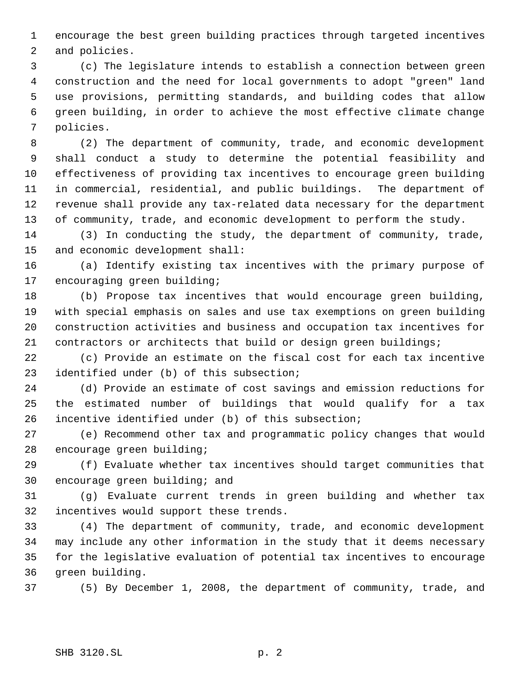encourage the best green building practices through targeted incentives and policies.

 (c) The legislature intends to establish a connection between green construction and the need for local governments to adopt "green" land use provisions, permitting standards, and building codes that allow green building, in order to achieve the most effective climate change policies.

 (2) The department of community, trade, and economic development shall conduct a study to determine the potential feasibility and effectiveness of providing tax incentives to encourage green building in commercial, residential, and public buildings. The department of revenue shall provide any tax-related data necessary for the department of community, trade, and economic development to perform the study.

 (3) In conducting the study, the department of community, trade, and economic development shall:

 (a) Identify existing tax incentives with the primary purpose of encouraging green building;

 (b) Propose tax incentives that would encourage green building, with special emphasis on sales and use tax exemptions on green building construction activities and business and occupation tax incentives for contractors or architects that build or design green buildings;

 (c) Provide an estimate on the fiscal cost for each tax incentive identified under (b) of this subsection;

 (d) Provide an estimate of cost savings and emission reductions for the estimated number of buildings that would qualify for a tax incentive identified under (b) of this subsection;

 (e) Recommend other tax and programmatic policy changes that would encourage green building;

 (f) Evaluate whether tax incentives should target communities that encourage green building; and

 (g) Evaluate current trends in green building and whether tax incentives would support these trends.

 (4) The department of community, trade, and economic development may include any other information in the study that it deems necessary for the legislative evaluation of potential tax incentives to encourage green building.

(5) By December 1, 2008, the department of community, trade, and